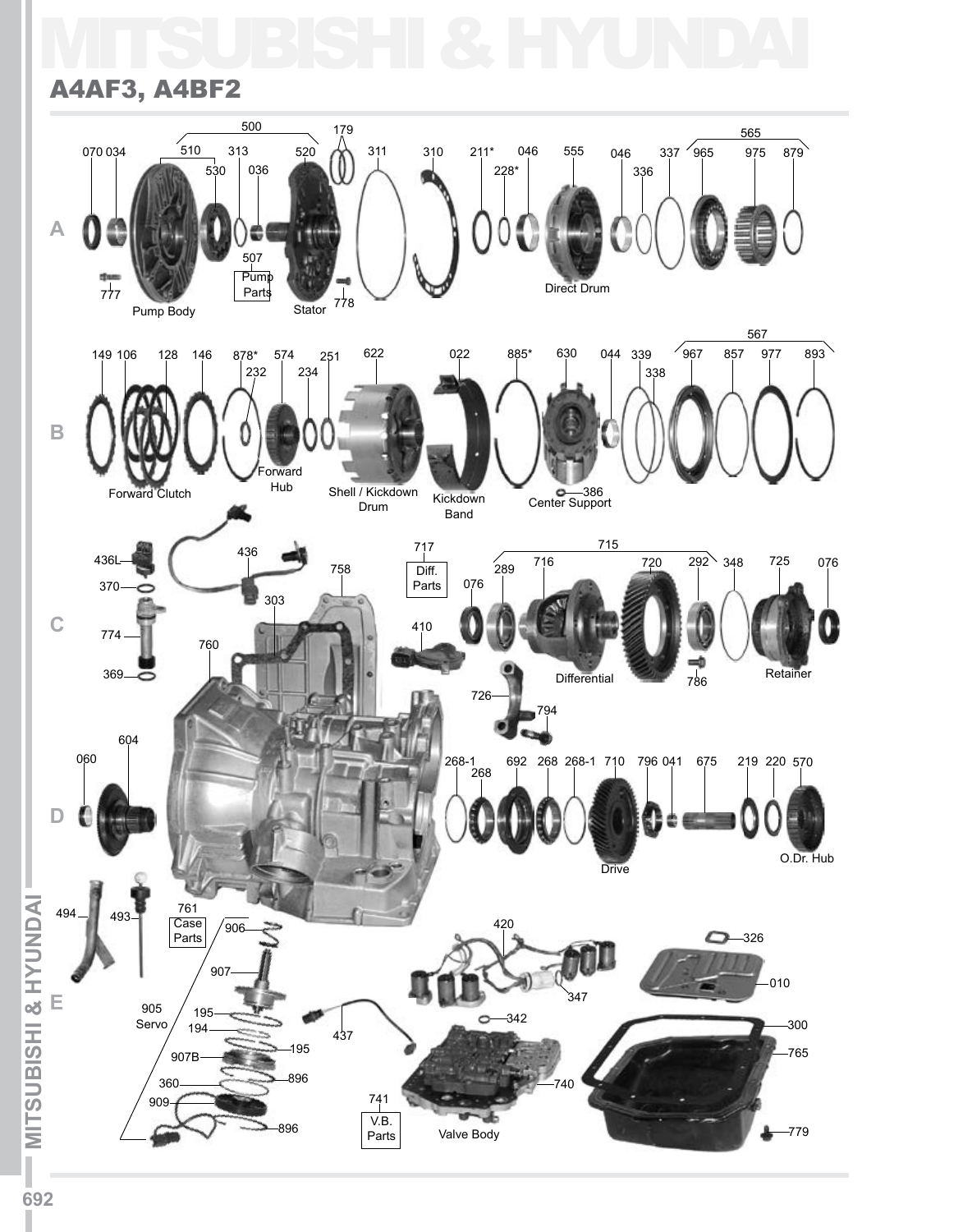

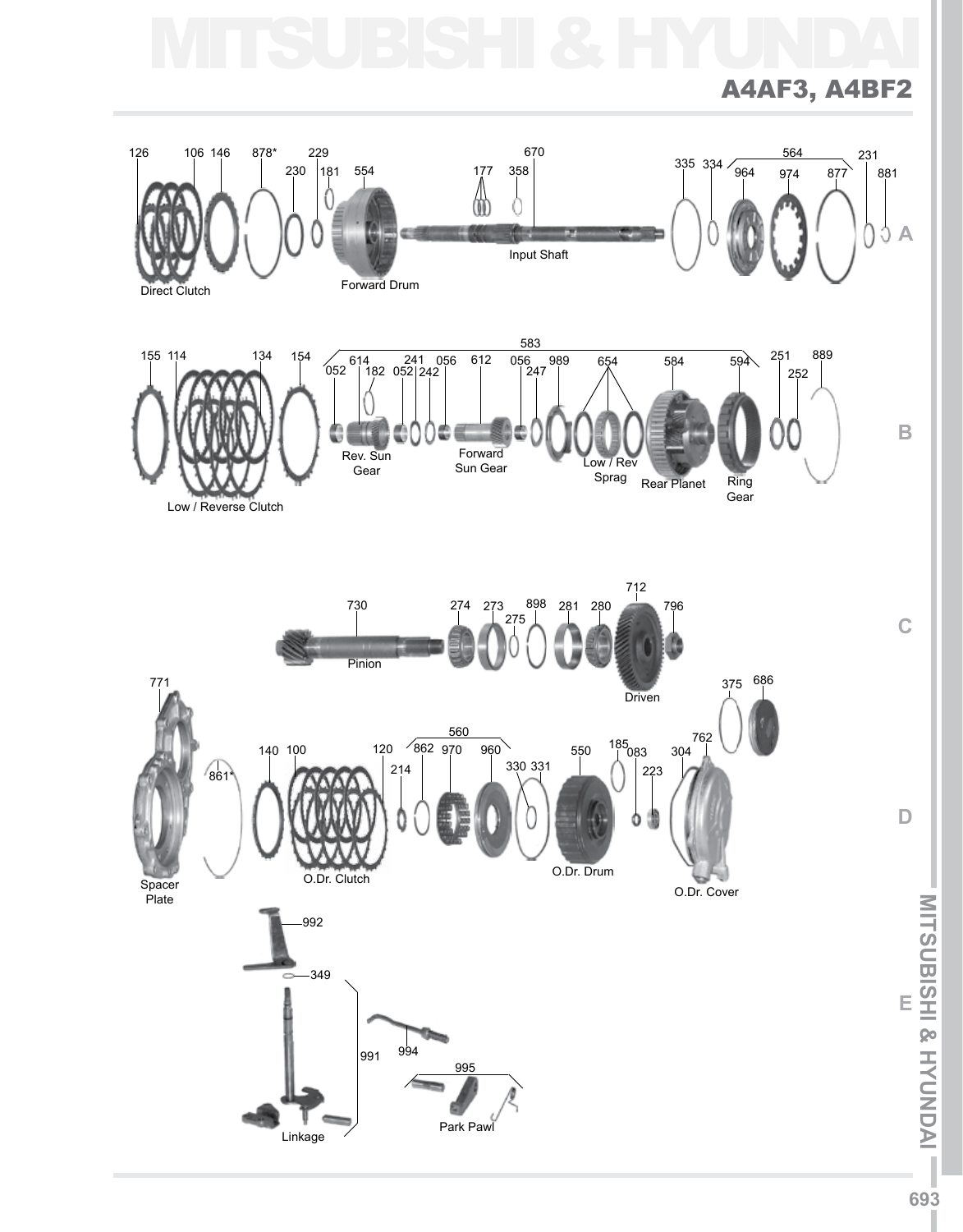# MITSUBISHI & HYUNDAI

#### A4AF3, A4BF2

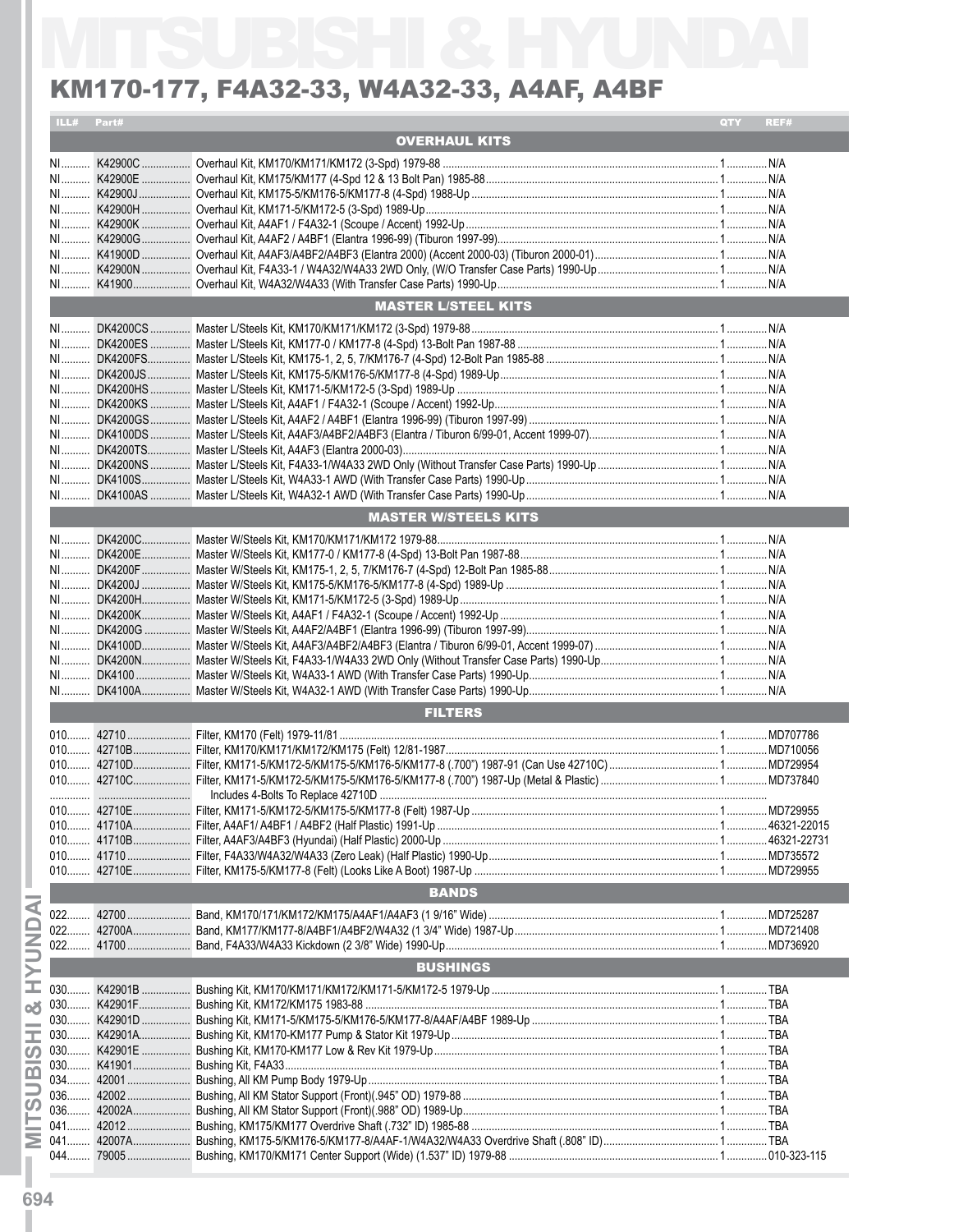|       | ILL# Part# |                             | QTY | REF# |
|-------|------------|-----------------------------|-----|------|
|       |            | <b>OVERHAUL KITS</b>        |     |      |
|       |            |                             |     |      |
|       |            |                             |     |      |
|       |            |                             |     |      |
|       |            |                             |     |      |
|       |            |                             |     |      |
|       |            |                             |     |      |
|       |            |                             |     |      |
|       |            |                             |     |      |
|       |            |                             |     |      |
|       |            | <b>MASTER L/STEEL KITS</b>  |     |      |
|       |            |                             |     |      |
|       |            |                             |     |      |
|       |            |                             |     |      |
|       |            |                             |     |      |
|       |            |                             |     |      |
|       |            |                             |     |      |
|       |            |                             |     |      |
|       |            |                             |     |      |
|       |            |                             |     |      |
|       |            |                             |     |      |
|       |            |                             |     |      |
|       |            | <b>MASTER W/STEELS KITS</b> |     |      |
|       |            |                             |     |      |
|       |            |                             |     |      |
|       |            |                             |     |      |
|       |            |                             |     |      |
|       |            |                             |     |      |
|       |            |                             |     |      |
|       |            |                             |     |      |
|       |            |                             |     |      |
|       |            |                             |     |      |
|       |            |                             |     |      |
|       |            | <b>FILTERS</b>              |     |      |
|       |            |                             |     |      |
|       |            |                             |     |      |
|       |            |                             |     |      |
|       |            |                             |     |      |
|       |            |                             |     |      |
|       |            |                             |     |      |
|       |            |                             |     |      |
|       |            |                             |     |      |
|       |            |                             |     |      |
|       |            | <b>BANDS</b>                |     |      |
|       |            |                             |     |      |
|       |            |                             |     |      |
|       |            |                             |     |      |
|       |            | <b>BUSHINGS</b>             |     |      |
|       |            |                             |     |      |
|       |            |                             |     |      |
|       |            |                             |     |      |
|       |            |                             |     |      |
|       |            |                             |     |      |
|       |            |                             |     |      |
|       |            |                             |     |      |
| $036$ |            |                             |     |      |
|       |            |                             |     |      |
| $041$ |            |                             |     |      |
| $044$ |            |                             |     |      |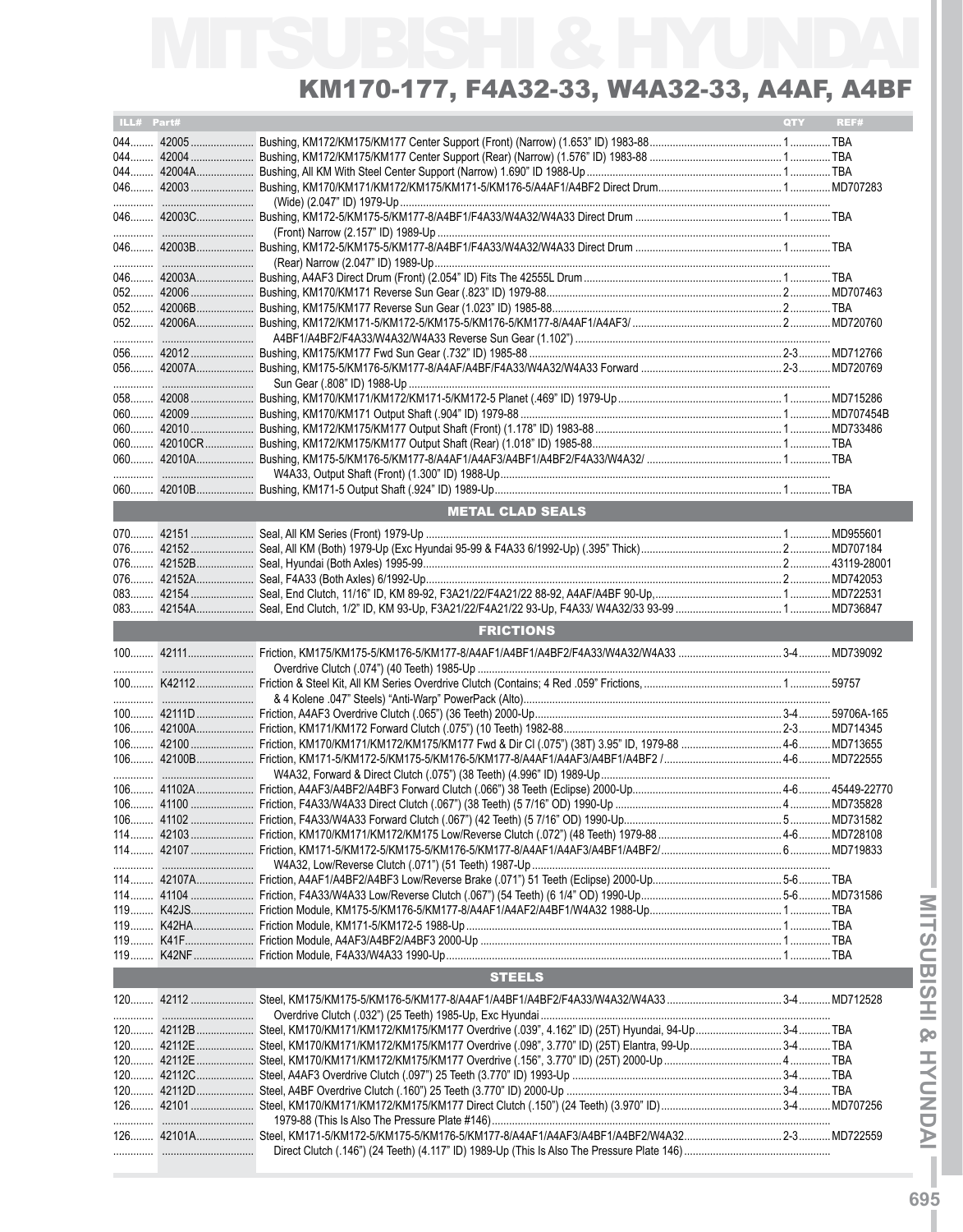| ILL# Part# |            |                         | <b>QTY</b> | REF# |
|------------|------------|-------------------------|------------|------|
|            |            |                         |            |      |
|            |            |                         |            |      |
|            |            |                         |            |      |
|            | 044 42004A |                         |            |      |
|            | 046 42003  |                         |            |      |
|            |            |                         |            |      |
|            |            |                         |            |      |
|            |            |                         |            |      |
|            |            |                         |            |      |
|            |            |                         |            |      |
|            |            |                         |            |      |
|            |            |                         |            |      |
|            | 052 42006  |                         |            |      |
|            | 052 42006B |                         |            |      |
|            |            |                         |            |      |
|            |            |                         |            |      |
|            |            |                         |            |      |
|            |            |                         |            |      |
|            |            |                         |            |      |
|            |            |                         |            |      |
|            |            |                         |            |      |
|            |            |                         |            |      |
|            |            |                         |            |      |
|            |            |                         |            |      |
|            |            |                         |            |      |
|            |            |                         |            |      |
|            |            |                         |            |      |
|            |            |                         |            |      |
|            |            | <b>METAL CLAD SEALS</b> |            |      |
|            |            |                         |            |      |
|            |            |                         |            |      |
|            |            |                         |            |      |
|            |            |                         |            |      |
|            |            |                         |            |      |
|            |            |                         |            |      |
|            |            |                         |            |      |
|            |            | <b>FRICTIONS</b>        |            |      |
|            |            |                         |            |      |
|            |            |                         |            |      |
|            |            |                         |            |      |
|            |            |                         |            |      |
|            |            |                         |            |      |
|            |            |                         |            |      |
|            |            |                         |            |      |
|            |            |                         |            |      |
|            |            |                         |            |      |
|            |            |                         |            |      |
|            |            |                         |            |      |
|            |            |                         |            |      |
|            |            |                         |            |      |
|            |            |                         |            |      |
|            |            |                         |            |      |
|            |            |                         |            |      |
|            |            |                         |            |      |
|            |            |                         |            |      |
|            |            |                         |            |      |
|            |            |                         |            |      |
|            |            |                         |            |      |
|            |            |                         |            |      |
|            |            |                         |            |      |
|            |            |                         |            |      |
|            |            |                         |            |      |
|            |            | <b>STEELS</b>           |            |      |
|            |            |                         |            |      |
|            |            |                         |            |      |
|            |            |                         |            |      |
|            |            |                         |            |      |
|            |            |                         |            |      |
|            |            |                         |            |      |
|            | 120 42112C |                         |            |      |
|            | 120 42112D |                         |            |      |
|            |            |                         |            |      |
|            |            |                         |            |      |
|            |            |                         |            |      |
|            |            |                         |            |      |
|            |            |                         |            |      |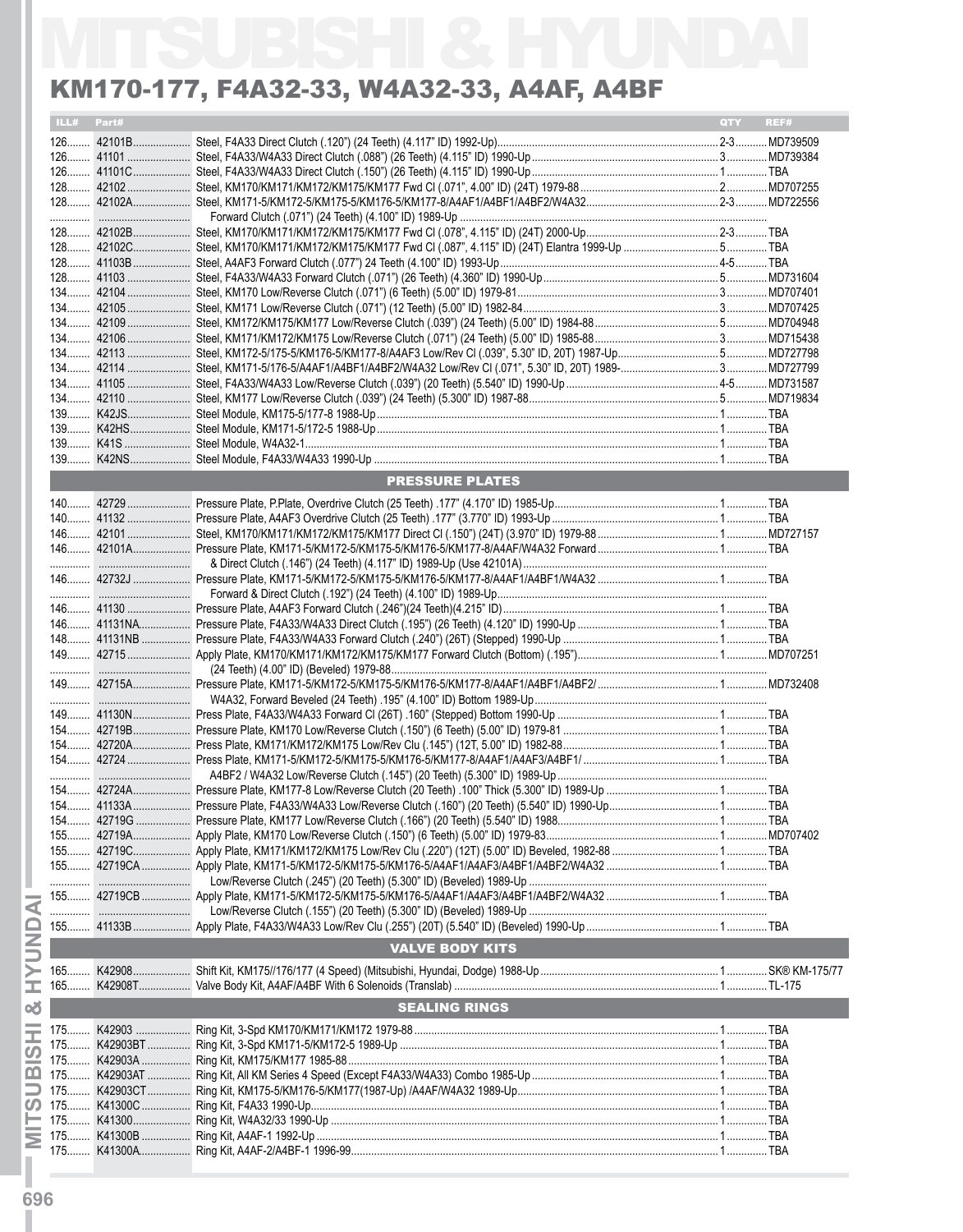|     |            | KM170-177, F4A32-33, W4A32-33, A4AF, A4BF |     |      |
|-----|------------|-------------------------------------------|-----|------|
|     | ILL# Part# |                                           | QTY | REF# |
|     |            |                                           |     |      |
|     |            |                                           |     |      |
|     |            |                                           |     |      |
|     |            |                                           |     |      |
|     |            |                                           |     |      |
|     |            |                                           |     |      |
|     |            |                                           |     |      |
|     |            |                                           |     |      |
|     |            |                                           |     |      |
|     |            |                                           |     |      |
|     |            |                                           |     |      |
|     |            |                                           |     |      |
|     |            |                                           |     |      |
|     |            |                                           |     |      |
|     |            |                                           |     |      |
|     |            |                                           |     |      |
|     |            |                                           |     |      |
|     |            |                                           |     |      |
|     |            |                                           |     |      |
|     |            |                                           |     |      |
|     |            |                                           |     |      |
|     |            |                                           |     |      |
|     |            | <b>PRESSURE PLATES</b>                    |     |      |
|     |            |                                           |     |      |
|     |            |                                           |     |      |
|     |            |                                           |     |      |
|     |            |                                           |     |      |
|     |            |                                           |     |      |
|     |            |                                           |     |      |
|     |            |                                           |     |      |
|     |            |                                           |     |      |
|     |            |                                           |     |      |
|     |            |                                           |     |      |
|     |            |                                           |     |      |
|     |            |                                           |     |      |
|     |            |                                           |     |      |
|     |            |                                           |     |      |
|     |            |                                           |     |      |
|     |            |                                           |     |      |
|     |            |                                           |     |      |
|     |            |                                           |     |      |
|     |            |                                           |     |      |
|     | 154 42719G |                                           |     |      |
|     |            |                                           |     |      |
|     |            |                                           |     |      |
|     |            |                                           |     |      |
|     |            |                                           |     |      |
|     |            |                                           |     |      |
|     |            |                                           |     |      |
|     |            | <b>VALVE BODY KITS</b>                    |     |      |
|     |            |                                           |     |      |
|     |            |                                           |     |      |
|     |            | <b>SEALING RINGS</b>                      |     |      |
|     |            |                                           |     |      |
|     |            |                                           |     |      |
|     |            |                                           |     |      |
|     |            |                                           |     |      |
|     |            |                                           |     |      |
|     |            |                                           |     |      |
|     |            |                                           |     |      |
| 175 |            |                                           |     |      |
|     |            |                                           |     |      |
|     |            |                                           |     |      |

п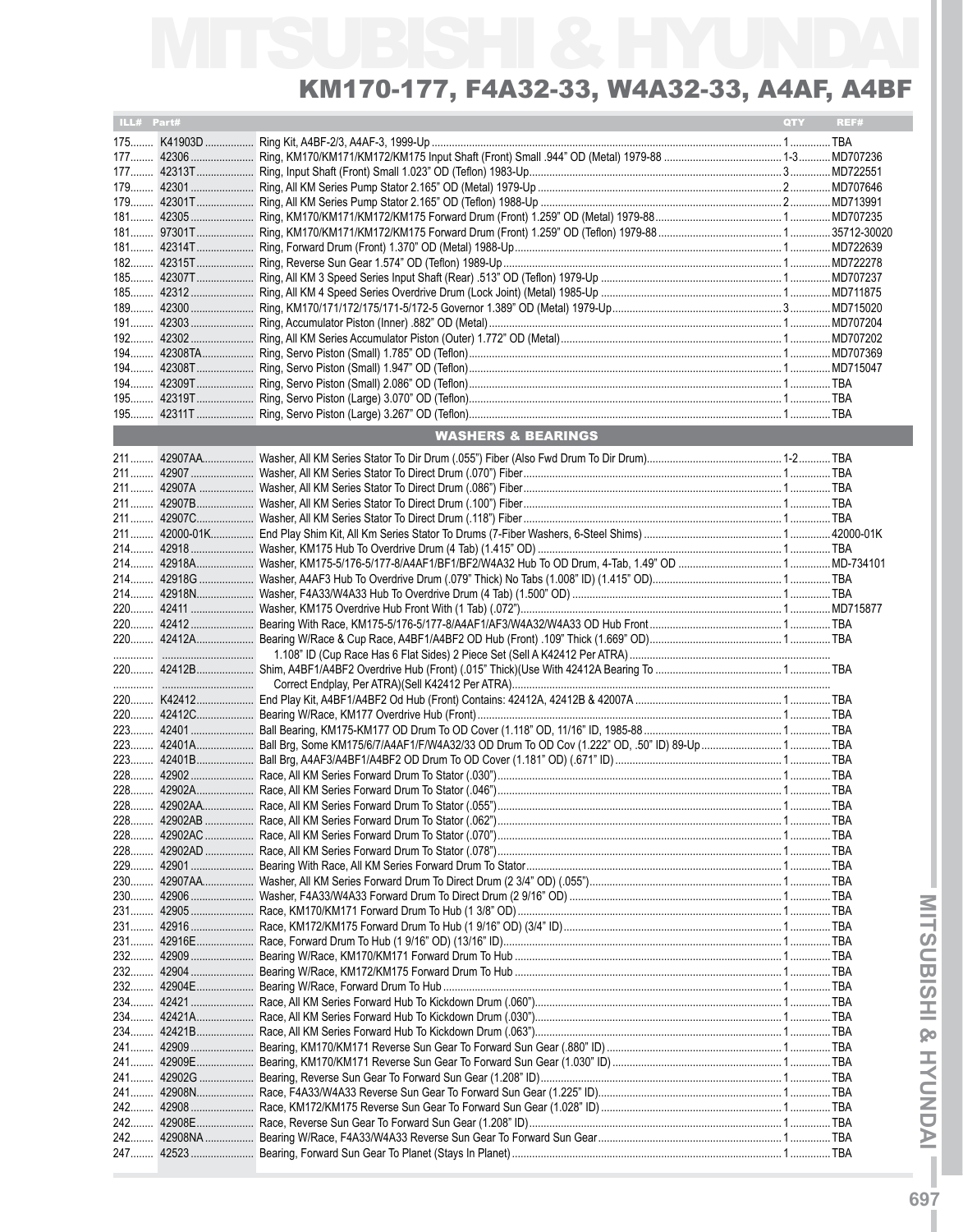| ILL# Part# |                  |                                                                                                        | QTY | REF# |
|------------|------------------|--------------------------------------------------------------------------------------------------------|-----|------|
|            |                  |                                                                                                        |     |      |
|            |                  |                                                                                                        |     |      |
|            |                  |                                                                                                        |     |      |
|            |                  |                                                                                                        |     |      |
|            |                  |                                                                                                        |     |      |
|            |                  |                                                                                                        |     |      |
|            |                  |                                                                                                        |     |      |
|            |                  |                                                                                                        |     |      |
|            |                  |                                                                                                        |     |      |
|            |                  |                                                                                                        |     |      |
|            |                  |                                                                                                        |     |      |
|            |                  |                                                                                                        |     |      |
|            |                  |                                                                                                        |     |      |
|            |                  |                                                                                                        |     |      |
|            |                  |                                                                                                        |     |      |
|            |                  |                                                                                                        |     |      |
|            |                  |                                                                                                        |     |      |
|            |                  |                                                                                                        |     |      |
|            |                  |                                                                                                        |     |      |
|            |                  | <b>WASHERS &amp; BEARINGS</b>                                                                          |     |      |
|            |                  |                                                                                                        |     |      |
|            |                  |                                                                                                        |     |      |
|            |                  |                                                                                                        |     |      |
|            |                  |                                                                                                        |     |      |
|            |                  |                                                                                                        |     |      |
|            |                  |                                                                                                        |     |      |
|            |                  |                                                                                                        |     |      |
|            |                  |                                                                                                        |     |      |
|            |                  |                                                                                                        |     |      |
|            |                  |                                                                                                        |     |      |
|            |                  |                                                                                                        |     |      |
|            |                  |                                                                                                        |     |      |
|            |                  |                                                                                                        |     |      |
|            |                  |                                                                                                        |     |      |
|            |                  |                                                                                                        |     |      |
|            |                  |                                                                                                        |     |      |
|            |                  |                                                                                                        |     |      |
|            |                  |                                                                                                        |     |      |
|            |                  | 223 42401A Ball Brg, Some KM175/6/7/A4AF1/F/W4A32/33 OD Drum To OD Cov (1.222" OD, .50" ID) 89-Up  TBA |     |      |
|            |                  |                                                                                                        |     |      |
|            |                  |                                                                                                        |     |      |
|            |                  |                                                                                                        |     |      |
|            |                  |                                                                                                        |     |      |
|            |                  |                                                                                                        |     |      |
|            |                  |                                                                                                        |     |      |
| $229$      |                  |                                                                                                        |     |      |
| $230$      |                  |                                                                                                        |     |      |
| $230$      | $42906$          |                                                                                                        |     |      |
| 231        |                  |                                                                                                        |     |      |
| 231        |                  |                                                                                                        |     |      |
| $231$      |                  |                                                                                                        |     |      |
| $232$      |                  |                                                                                                        |     |      |
| 232        | $42904$          |                                                                                                        |     |      |
| $232$      |                  |                                                                                                        |     |      |
|            |                  |                                                                                                        |     |      |
| $234$      |                  |                                                                                                        |     |      |
| 234        | 42421B           |                                                                                                        |     |      |
| 241        | $42909$          |                                                                                                        |     |      |
| 241<br>241 | 42909E<br>42902G |                                                                                                        |     |      |
| 241        |                  |                                                                                                        |     |      |
| 242        |                  |                                                                                                        |     |      |
| $242$      | 42908E           |                                                                                                        |     |      |
| 242        |                  |                                                                                                        |     |      |
| 247        |                  |                                                                                                        |     |      |
|            |                  |                                                                                                        |     |      |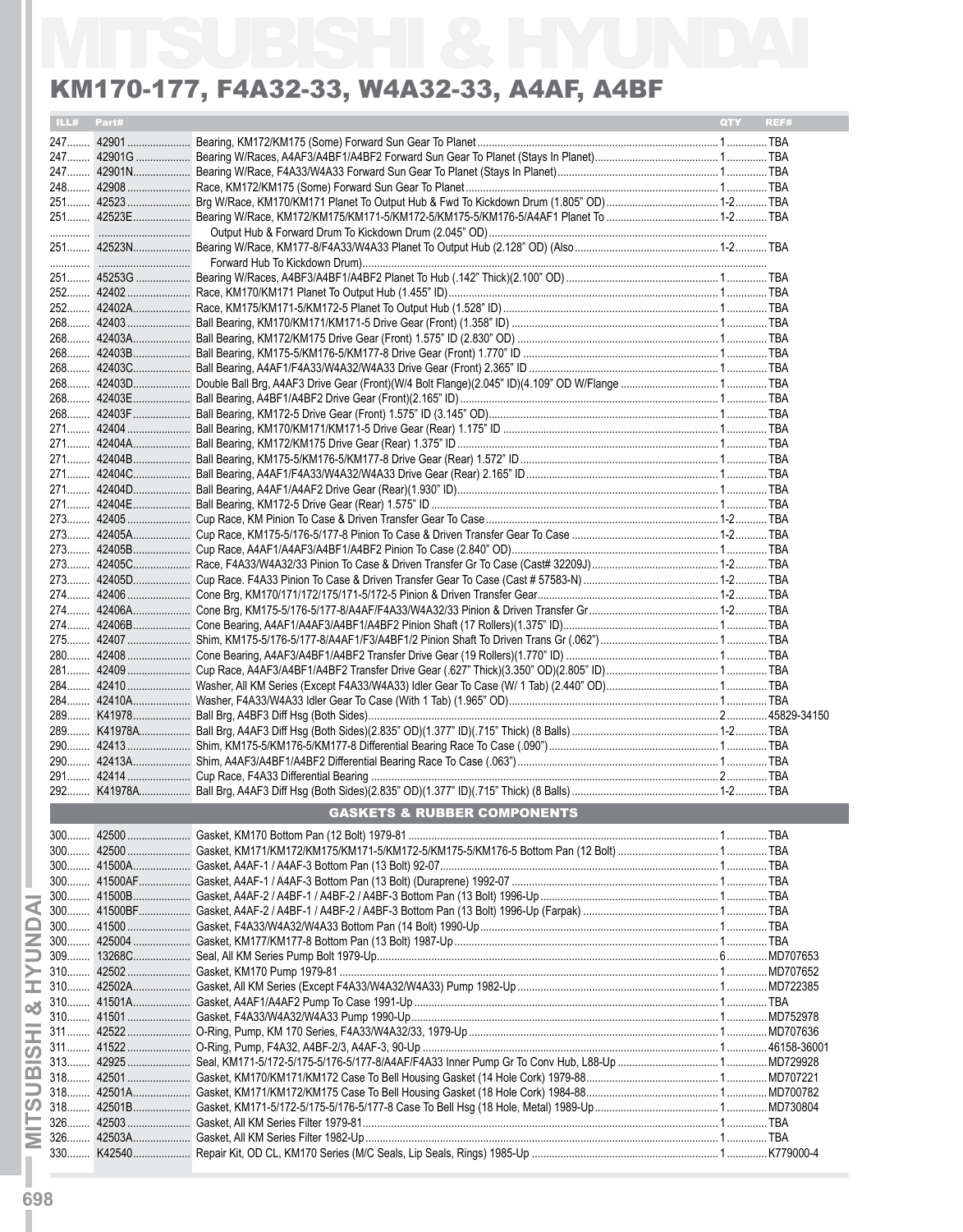|                |            | KM170-177, F4A32-33, W4A32-33, A4AF, A4BF |            |      |
|----------------|------------|-------------------------------------------|------------|------|
|                | ILL# Part# |                                           | <b>OTY</b> | REF# |
|                |            |                                           |            |      |
|                |            |                                           |            |      |
|                |            |                                           |            |      |
|                |            |                                           |            |      |
|                |            |                                           |            |      |
|                |            |                                           |            |      |
|                |            |                                           |            |      |
|                |            |                                           |            |      |
|                |            |                                           |            |      |
|                |            |                                           |            |      |
|                |            |                                           |            |      |
|                |            |                                           |            |      |
|                |            |                                           |            |      |
|                |            |                                           |            |      |
|                |            |                                           |            |      |
|                |            |                                           |            |      |
|                |            |                                           |            |      |
|                |            |                                           |            |      |
|                |            |                                           |            |      |
|                |            |                                           |            |      |
|                |            |                                           |            |      |
|                |            |                                           |            |      |
|                |            |                                           |            |      |
|                |            |                                           |            |      |
|                |            |                                           |            |      |
|                |            |                                           |            |      |
|                |            |                                           |            |      |
|                |            |                                           |            |      |
|                |            |                                           |            |      |
|                |            |                                           |            |      |
|                |            |                                           |            |      |
|                |            |                                           |            |      |
|                |            |                                           |            |      |
|                |            |                                           |            |      |
|                |            |                                           |            |      |
|                |            |                                           |            |      |
| $290$<br>$290$ |            |                                           |            |      |
| $291$          |            |                                           |            |      |
|                |            |                                           |            |      |
|                |            | <b>GASKETS &amp; RUBBER COMPONENTS</b>    |            |      |
|                |            |                                           |            |      |
| $300$          |            |                                           |            |      |
|                |            |                                           |            |      |
|                |            |                                           |            |      |
|                |            |                                           |            |      |
|                |            |                                           |            |      |
|                |            |                                           |            |      |
|                |            |                                           |            |      |
|                |            |                                           |            |      |
|                |            |                                           |            |      |
|                |            |                                           |            |      |
|                |            |                                           |            |      |
|                |            |                                           |            |      |
|                |            |                                           |            |      |
|                |            |                                           |            |      |
|                |            |                                           |            |      |
| $318$          |            |                                           |            |      |
| $326$          |            |                                           |            |      |
|                |            |                                           |            |      |
|                |            |                                           |            |      |

п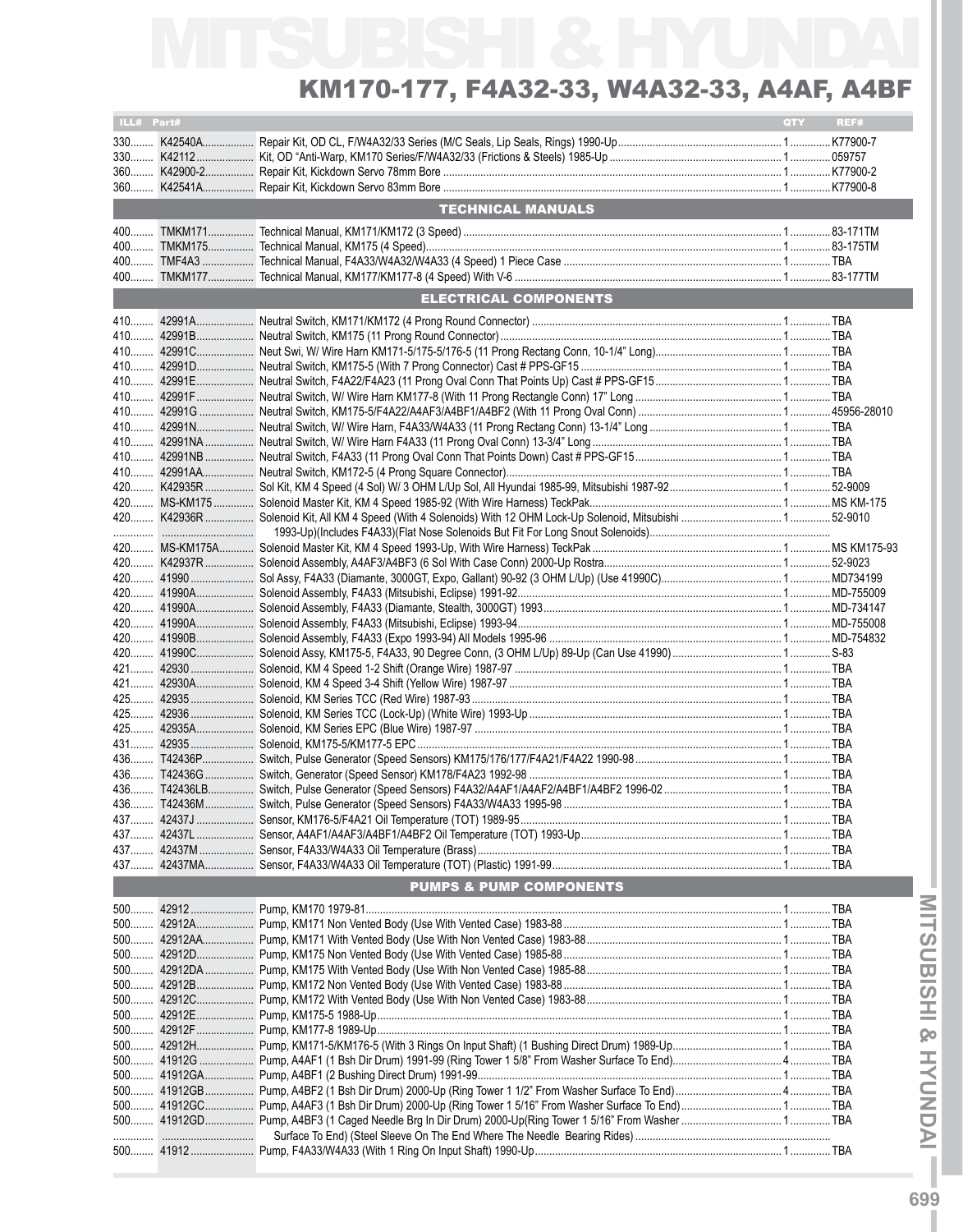| ILL# Part# |                                    | QTY | REF# |
|------------|------------------------------------|-----|------|
|            |                                    |     |      |
|            |                                    |     |      |
|            |                                    |     |      |
|            |                                    |     |      |
|            |                                    |     |      |
|            |                                    |     |      |
|            | <b>TECHNICAL MANUALS</b>           |     |      |
|            |                                    |     |      |
|            |                                    |     |      |
|            |                                    |     |      |
|            |                                    |     |      |
|            |                                    |     |      |
| $400$      |                                    |     |      |
|            |                                    |     |      |
|            | <b>ELECTRICAL COMPONENTS</b>       |     |      |
|            |                                    |     |      |
|            |                                    |     |      |
|            |                                    |     |      |
|            |                                    |     |      |
|            |                                    |     |      |
|            |                                    |     |      |
|            |                                    |     |      |
|            |                                    |     |      |
|            |                                    |     |      |
|            |                                    |     |      |
|            |                                    |     |      |
|            |                                    |     |      |
|            |                                    |     |      |
|            |                                    |     |      |
|            |                                    |     |      |
|            |                                    |     |      |
|            |                                    |     |      |
|            |                                    |     |      |
|            |                                    |     |      |
|            |                                    |     |      |
|            |                                    |     |      |
|            |                                    |     |      |
|            |                                    |     |      |
|            |                                    |     |      |
|            |                                    |     |      |
|            |                                    |     |      |
|            |                                    |     |      |
|            |                                    |     |      |
|            |                                    |     |      |
|            |                                    |     |      |
|            |                                    |     |      |
|            |                                    |     |      |
|            |                                    |     |      |
| 425        |                                    |     |      |
|            |                                    |     |      |
|            |                                    |     |      |
|            |                                    |     |      |
|            |                                    |     |      |
|            |                                    |     |      |
|            |                                    |     |      |
|            |                                    |     |      |
|            |                                    |     |      |
|            |                                    |     |      |
|            |                                    |     |      |
|            |                                    |     |      |
|            |                                    |     |      |
|            |                                    |     |      |
|            | <b>PUMPS &amp; PUMP COMPONENTS</b> |     |      |
|            |                                    |     |      |
|            |                                    |     |      |
|            |                                    |     |      |
|            |                                    |     |      |
|            |                                    |     |      |
|            |                                    |     |      |
|            |                                    |     |      |
|            |                                    |     |      |
|            |                                    |     |      |
|            |                                    |     |      |
|            |                                    |     |      |
|            |                                    |     |      |
|            |                                    |     |      |
|            |                                    |     |      |
|            |                                    |     |      |
|            |                                    |     |      |
|            |                                    |     |      |
|            |                                    |     |      |
|            |                                    |     |      |
|            |                                    |     |      |
|            |                                    |     |      |
|            |                                    |     |      |
|            |                                    |     |      |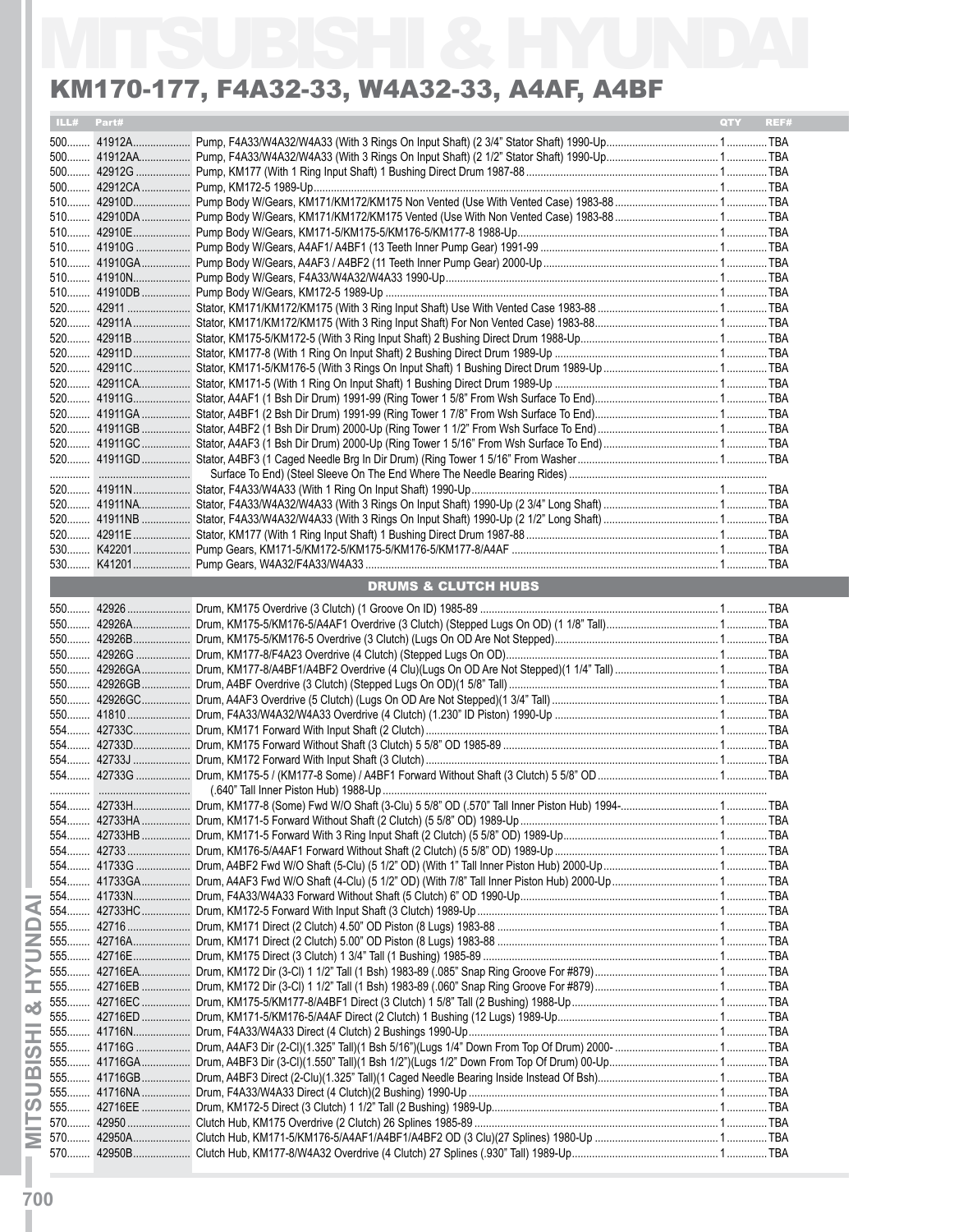|             | KM170-177, F4A32-33, W4A32-33, A4AF, A4BF |     |      |
|-------------|-------------------------------------------|-----|------|
| ILL# Part#  |                                           | QTY | REF# |
|             |                                           |     |      |
|             |                                           |     |      |
|             |                                           |     |      |
|             |                                           |     |      |
|             |                                           |     |      |
|             |                                           |     |      |
|             |                                           |     |      |
|             |                                           |     |      |
|             |                                           |     |      |
|             |                                           |     |      |
|             |                                           |     |      |
|             |                                           |     |      |
|             |                                           |     |      |
|             |                                           |     |      |
|             |                                           |     |      |
|             |                                           |     |      |
|             |                                           |     |      |
|             |                                           |     |      |
|             |                                           |     |      |
|             |                                           |     |      |
|             |                                           |     |      |
|             |                                           |     |      |
|             |                                           |     |      |
|             |                                           |     |      |
|             |                                           |     |      |
|             |                                           |     |      |
|             |                                           |     |      |
|             |                                           |     |      |
|             |                                           |     |      |
|             |                                           |     |      |
|             | <b>DRUMS &amp; CLUTCH HUBS</b>            |     |      |
|             |                                           |     |      |
|             |                                           |     |      |
|             |                                           |     |      |
|             |                                           |     |      |
|             |                                           |     |      |
|             |                                           |     |      |
|             |                                           |     |      |
|             |                                           |     |      |
|             |                                           |     |      |
| 554 42733D  |                                           |     |      |
|             |                                           |     |      |
|             |                                           |     |      |
|             |                                           |     |      |
|             |                                           |     |      |
|             |                                           |     |      |
| 554 42733HA |                                           |     |      |
| 554 42733HB |                                           |     |      |
| 554 42733   |                                           |     |      |
| 554 41733G  |                                           |     |      |
| 554 41733GA |                                           |     |      |
| 554 41733N  |                                           |     |      |
| 554 42733HC |                                           |     |      |
|             |                                           |     |      |
|             |                                           |     |      |
| 555 42716A  |                                           |     |      |
| 555 42716E  |                                           |     |      |
| 555 42716EA |                                           |     |      |
| 555 42716EB |                                           |     |      |
|             |                                           |     |      |
| 555 42716ED |                                           |     |      |
| 555 41716N  |                                           |     |      |
| 555 41716G  |                                           |     |      |
| 555 41716GA |                                           |     |      |
|             |                                           |     |      |
|             |                                           |     |      |
|             |                                           |     |      |
|             |                                           |     |      |
|             |                                           |     |      |
|             |                                           |     |      |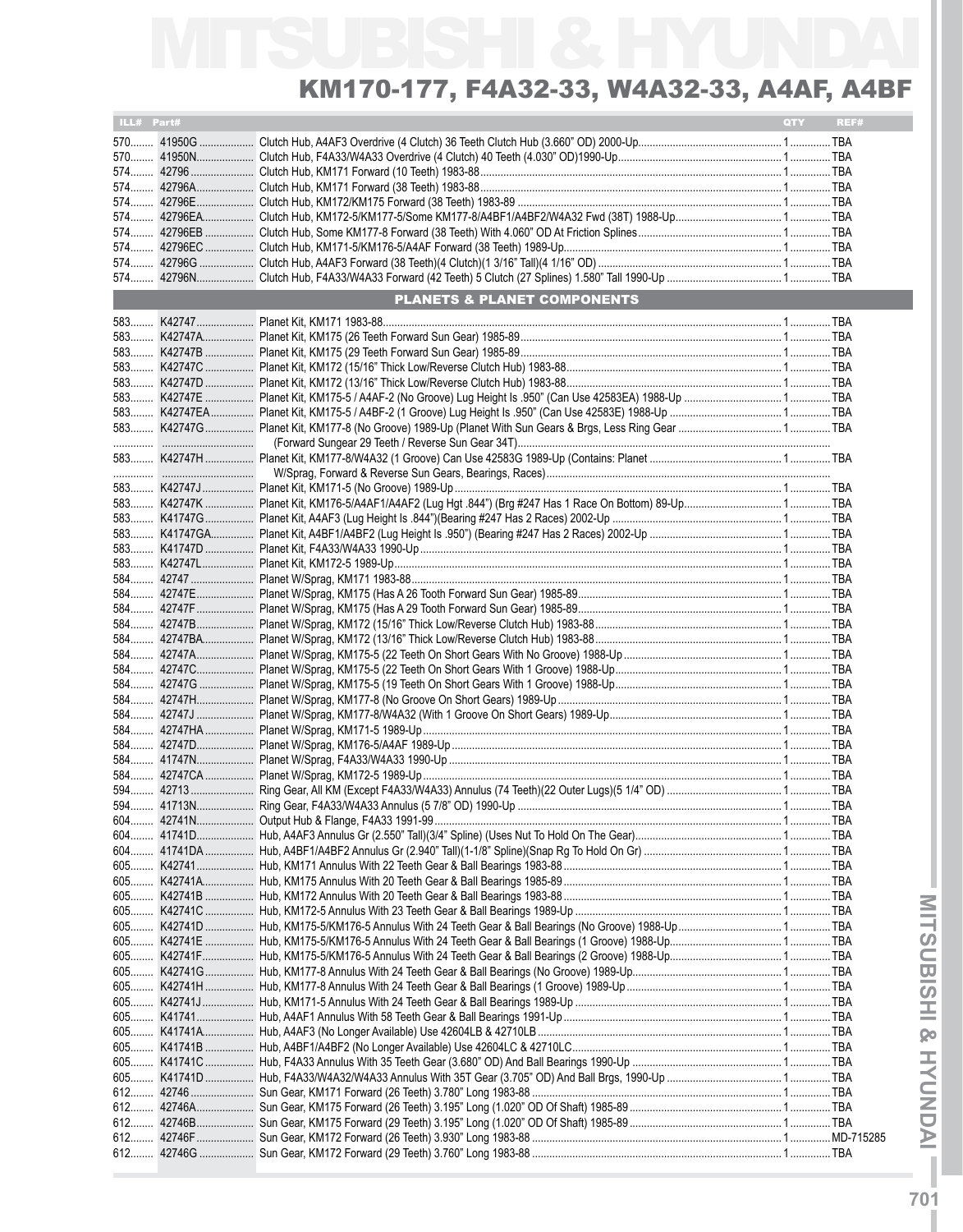| ILL# Part# |                                        | QTY | REF# |
|------------|----------------------------------------|-----|------|
|            |                                        |     |      |
|            |                                        |     |      |
|            |                                        |     |      |
|            |                                        |     |      |
|            |                                        |     |      |
|            |                                        |     |      |
|            |                                        |     |      |
|            |                                        |     |      |
|            |                                        |     |      |
|            |                                        |     |      |
|            | <b>PLANETS &amp; PLANET COMPONENTS</b> |     |      |
|            |                                        |     |      |
|            |                                        |     |      |
|            |                                        |     |      |
|            |                                        |     |      |
|            |                                        |     |      |
| 583        |                                        |     |      |
|            |                                        |     |      |
|            |                                        |     |      |
|            |                                        |     |      |
|            |                                        |     |      |
|            |                                        |     |      |
|            |                                        |     |      |
|            |                                        |     |      |
|            |                                        |     |      |
|            |                                        |     |      |
|            |                                        |     |      |
|            |                                        |     |      |
|            |                                        |     |      |
|            |                                        |     |      |
|            |                                        |     |      |
|            |                                        |     |      |
|            |                                        |     |      |
|            |                                        |     |      |
|            |                                        |     |      |
|            |                                        |     |      |
|            |                                        |     |      |
|            |                                        |     |      |
|            |                                        |     |      |
|            |                                        |     |      |
|            |                                        |     |      |
|            |                                        |     |      |
|            |                                        |     |      |
|            |                                        |     |      |
| 604        |                                        |     |      |
|            |                                        |     |      |
|            |                                        |     |      |
|            |                                        |     |      |
|            |                                        |     |      |
|            |                                        |     |      |
|            |                                        |     |      |
|            |                                        |     |      |
|            |                                        |     |      |
|            |                                        |     |      |
|            |                                        |     |      |
|            |                                        |     |      |
|            |                                        |     |      |
|            |                                        |     |      |
|            |                                        |     |      |
|            |                                        |     |      |
|            |                                        |     |      |
|            |                                        |     |      |
|            |                                        |     |      |
|            |                                        |     |      |
|            |                                        |     |      |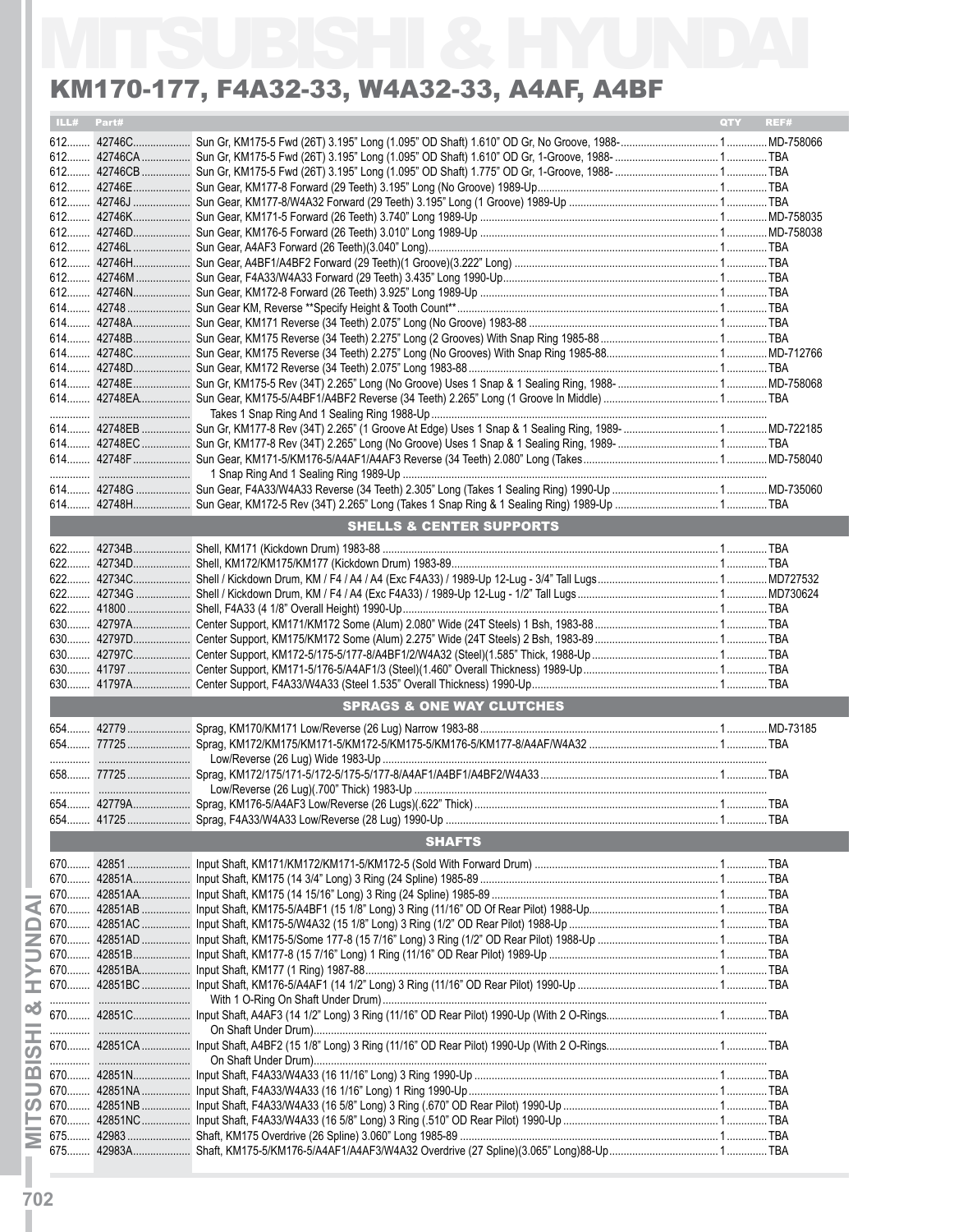|            | KM170-177, F4A32-33, W4A32-33, A4AF, A4BF |                    |  |
|------------|-------------------------------------------|--------------------|--|
| ILL# Part# |                                           | REF#<br><b>OTY</b> |  |
|            |                                           |                    |  |
|            |                                           |                    |  |
|            |                                           |                    |  |
|            |                                           |                    |  |
|            |                                           |                    |  |
|            |                                           |                    |  |
|            |                                           |                    |  |
|            |                                           |                    |  |
|            |                                           |                    |  |
|            |                                           |                    |  |
|            |                                           |                    |  |
|            |                                           |                    |  |
|            |                                           |                    |  |
|            |                                           |                    |  |
|            |                                           |                    |  |
|            |                                           |                    |  |
|            |                                           |                    |  |
|            |                                           |                    |  |
|            |                                           |                    |  |
|            |                                           |                    |  |
|            |                                           |                    |  |
|            |                                           |                    |  |
|            |                                           |                    |  |
|            |                                           |                    |  |
|            |                                           |                    |  |
|            |                                           |                    |  |
|            |                                           |                    |  |
|            | <b>SHELLS &amp; CENTER SUPPORTS</b>       |                    |  |
|            |                                           |                    |  |
|            |                                           |                    |  |
|            |                                           |                    |  |
|            |                                           |                    |  |
|            |                                           |                    |  |
|            |                                           |                    |  |
|            |                                           |                    |  |
|            |                                           |                    |  |
|            |                                           |                    |  |
|            |                                           |                    |  |
|            |                                           |                    |  |
|            | <b>SPRAGS &amp; ONE WAY CLUTCHES</b>      |                    |  |
|            |                                           |                    |  |
|            |                                           |                    |  |
|            |                                           |                    |  |
|            |                                           |                    |  |
|            |                                           |                    |  |
|            |                                           |                    |  |
|            |                                           |                    |  |
|            |                                           |                    |  |
|            | <b>SHAFTS</b>                             |                    |  |
|            |                                           |                    |  |
|            |                                           |                    |  |
|            |                                           |                    |  |
|            |                                           |                    |  |
|            |                                           |                    |  |
|            |                                           |                    |  |
|            |                                           |                    |  |
|            |                                           |                    |  |
|            |                                           |                    |  |
|            |                                           |                    |  |
|            |                                           |                    |  |
|            |                                           |                    |  |
|            |                                           |                    |  |
|            |                                           |                    |  |
|            |                                           |                    |  |
|            |                                           |                    |  |
|            |                                           |                    |  |
|            |                                           |                    |  |
|            |                                           |                    |  |

I.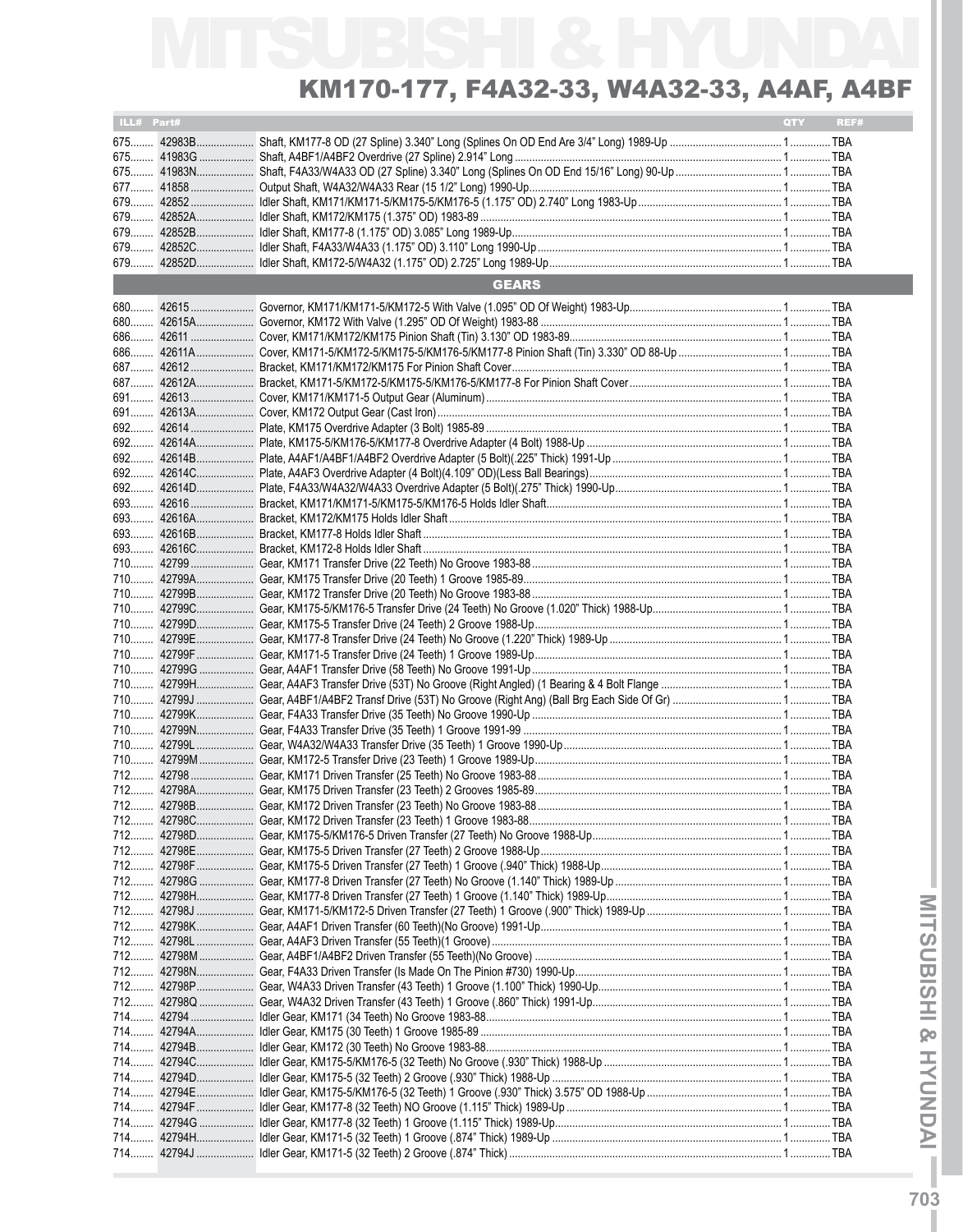| ILL# Part# |              | QTY | REF# |
|------------|--------------|-----|------|
|            |              |     |      |
|            |              |     |      |
|            |              |     |      |
|            |              |     |      |
|            |              |     |      |
|            |              |     |      |
|            |              |     |      |
|            |              |     |      |
|            |              |     |      |
|            | <b>GEARS</b> |     |      |
|            |              |     |      |
|            |              |     |      |
|            |              |     |      |
|            |              |     |      |
|            |              |     |      |
|            |              |     |      |
|            |              |     |      |
|            |              |     |      |
|            |              |     |      |
|            |              |     |      |
|            |              |     |      |
|            |              |     |      |
|            |              |     |      |
|            |              |     |      |
|            |              |     |      |
|            |              |     |      |
|            |              |     |      |
|            |              |     |      |
|            |              |     |      |
|            |              |     |      |
|            |              |     |      |
|            |              |     |      |
|            |              |     |      |
|            |              |     |      |
|            |              |     |      |
|            |              |     |      |
|            |              |     |      |
|            |              |     |      |
|            |              |     |      |
|            |              |     |      |
|            |              |     |      |
|            |              |     |      |
|            |              |     |      |
|            |              |     |      |
|            |              |     |      |
|            |              |     |      |
|            |              |     |      |
|            |              |     |      |
|            |              |     |      |
|            |              |     |      |
|            |              |     |      |
|            |              |     |      |
|            |              |     |      |
|            |              |     |      |
|            |              |     |      |
|            |              |     |      |
|            |              |     |      |
|            |              |     |      |
|            |              |     |      |
|            |              |     |      |
|            |              |     |      |
|            |              |     |      |
|            |              |     |      |
|            |              |     |      |
|            |              |     |      |
|            |              |     |      |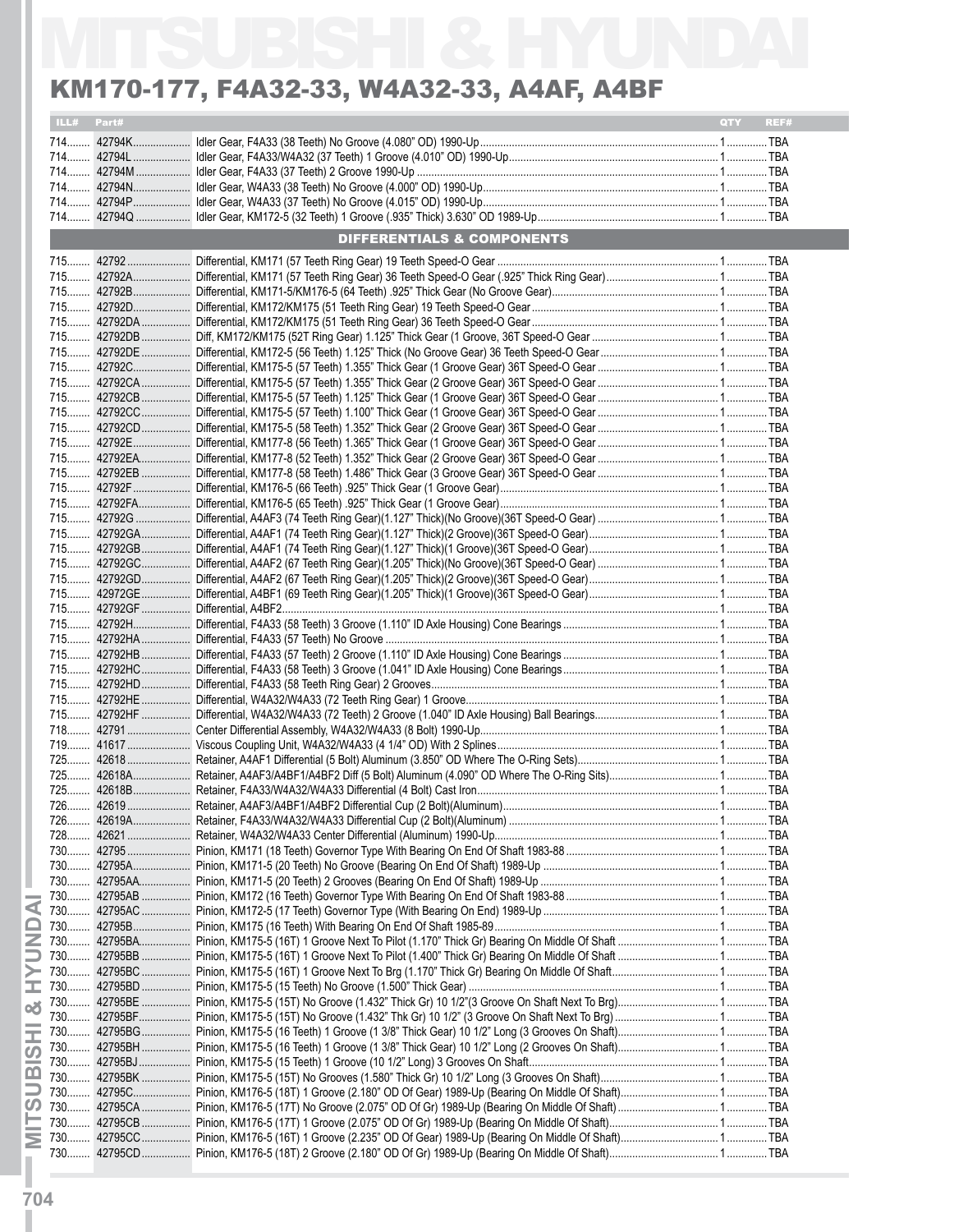| ILL# Part# |                            | <b>QTY</b><br>REF# |
|------------|----------------------------|--------------------|
|            |                            |                    |
|            |                            |                    |
|            |                            |                    |
|            |                            |                    |
|            |                            |                    |
|            |                            |                    |
|            | DIFFERENTIALS & COMPONENTS |                    |
|            |                            |                    |
|            |                            |                    |
|            |                            |                    |
|            |                            |                    |
|            |                            |                    |
|            |                            |                    |
|            |                            |                    |
|            |                            |                    |
|            |                            |                    |
|            |                            |                    |
|            |                            |                    |
|            |                            |                    |
|            |                            |                    |
|            |                            |                    |
|            |                            |                    |
|            |                            |                    |
|            |                            |                    |
|            |                            |                    |
|            |                            |                    |
|            |                            |                    |
|            |                            |                    |
|            |                            |                    |
|            |                            |                    |
|            |                            |                    |
|            |                            |                    |
|            |                            |                    |
|            |                            |                    |
|            |                            |                    |
|            |                            |                    |
|            |                            |                    |
|            |                            |                    |
|            |                            |                    |
|            |                            |                    |
|            |                            |                    |
|            |                            |                    |
|            |                            |                    |
|            |                            |                    |
|            |                            |                    |
|            |                            |                    |
|            |                            |                    |
|            |                            |                    |
|            |                            |                    |
|            |                            |                    |
|            |                            |                    |
|            |                            |                    |
|            |                            |                    |
|            |                            |                    |
|            |                            |                    |
|            |                            |                    |
|            |                            |                    |
|            |                            |                    |
|            |                            |                    |
|            |                            |                    |
|            |                            |                    |
|            |                            |                    |
|            |                            |                    |
|            |                            |                    |
|            |                            |                    |
|            |                            |                    |
|            |                            |                    |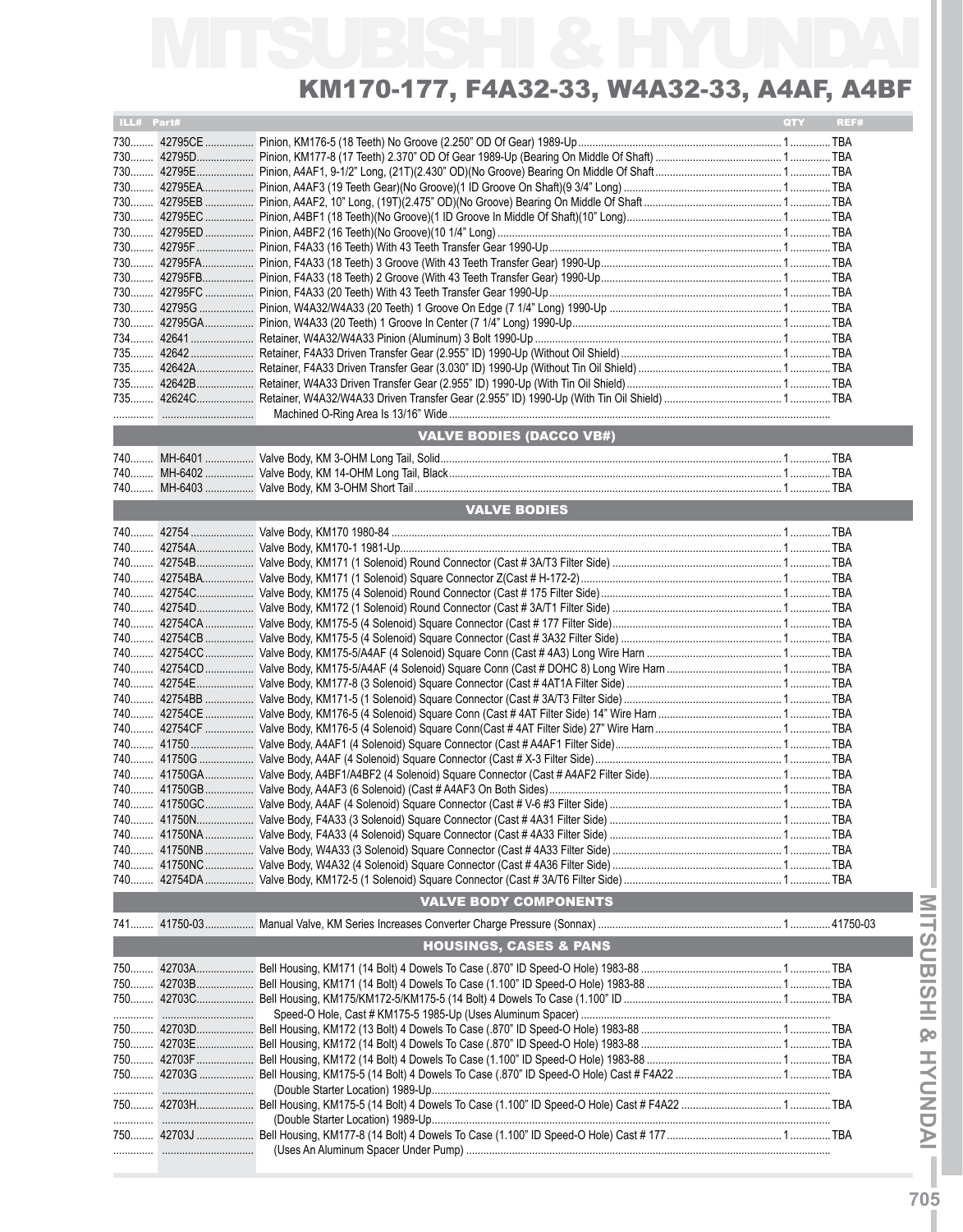| ILL# Part# |                                   | <b>QTY</b> | REF# |
|------------|-----------------------------------|------------|------|
|            |                                   |            |      |
|            |                                   |            |      |
| 730        |                                   |            |      |
| 730        |                                   |            |      |
|            |                                   |            |      |
|            |                                   |            |      |
|            |                                   |            |      |
|            |                                   |            |      |
| 730        |                                   |            |      |
| 730        |                                   |            |      |
|            |                                   |            |      |
|            |                                   |            |      |
|            |                                   |            |      |
| 730        |                                   |            |      |
| 734        |                                   |            |      |
|            |                                   |            |      |
|            |                                   |            |      |
|            |                                   |            |      |
|            |                                   |            |      |
|            |                                   |            |      |
|            |                                   |            |      |
|            | <b>VALVE BODIES (DACCO VB#)</b>   |            |      |
|            |                                   |            |      |
|            |                                   |            |      |
|            |                                   |            |      |
|            |                                   |            |      |
|            | <b>VALVE BODIES</b>               |            |      |
|            |                                   |            |      |
|            |                                   |            |      |
|            |                                   |            |      |
|            |                                   |            |      |
|            |                                   |            |      |
|            |                                   |            |      |
|            |                                   |            |      |
|            |                                   |            |      |
|            |                                   |            |      |
|            |                                   |            |      |
|            |                                   |            |      |
|            |                                   |            |      |
|            |                                   |            |      |
|            |                                   |            |      |
|            |                                   |            |      |
|            |                                   |            |      |
|            |                                   |            |      |
|            |                                   |            |      |
|            |                                   |            |      |
|            |                                   |            |      |
|            |                                   |            |      |
|            |                                   |            |      |
|            |                                   |            |      |
|            |                                   |            |      |
|            |                                   |            |      |
|            |                                   |            |      |
|            |                                   |            |      |
|            | <b>VALVE BODY COMPONENTS</b>      |            |      |
|            |                                   |            |      |
|            | <b>HOUSINGS, CASES &amp; PANS</b> |            |      |
|            |                                   |            |      |
|            |                                   |            |      |
|            |                                   |            |      |
|            |                                   |            |      |
|            |                                   |            |      |
|            |                                   |            |      |
|            |                                   |            |      |
|            |                                   |            |      |
|            |                                   |            |      |
|            |                                   |            |      |
|            |                                   |            |      |
|            |                                   |            |      |
|            |                                   |            |      |
|            |                                   |            |      |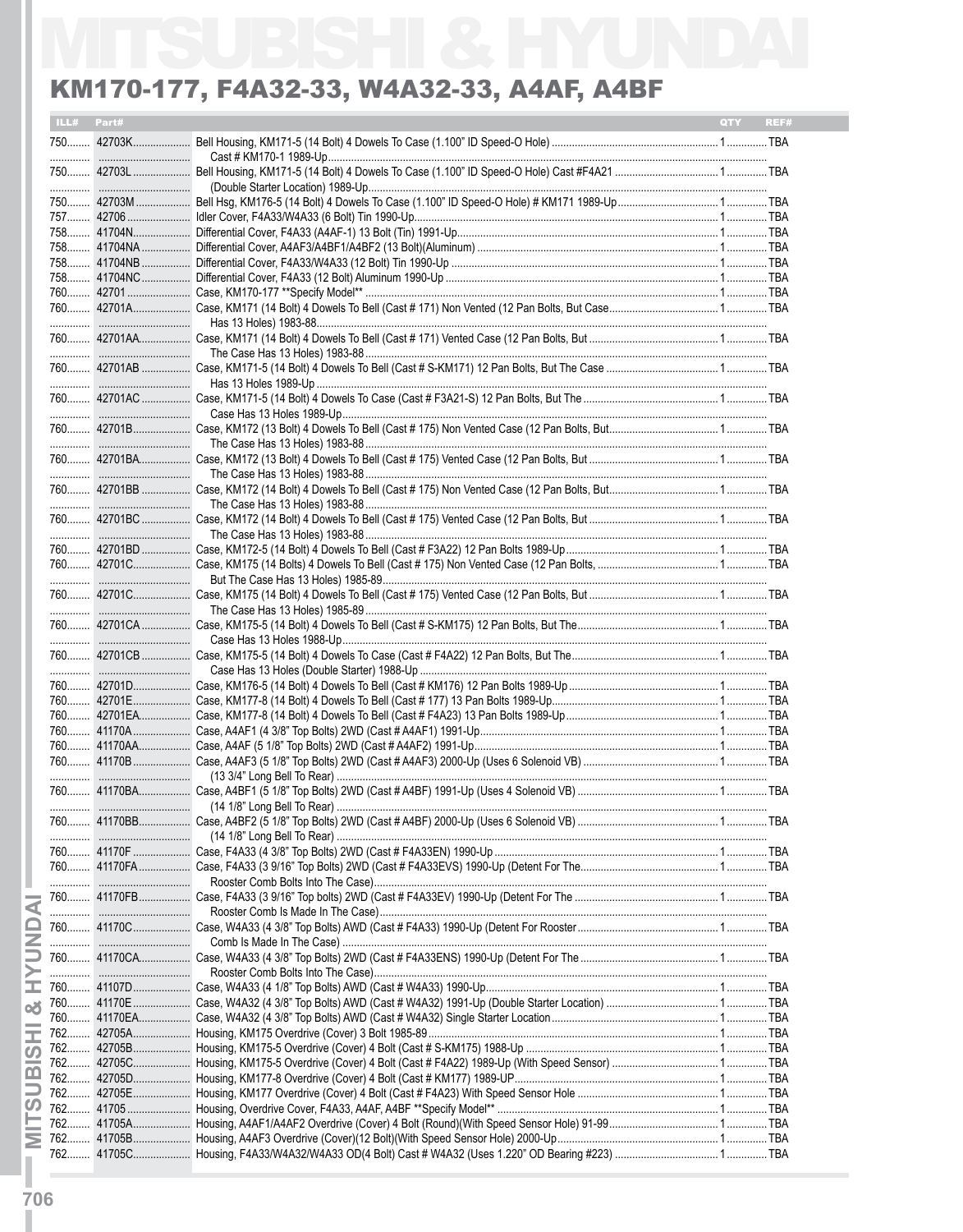|     | ILL# Part#  |                                                                                                                 | QTY | REF# |
|-----|-------------|-----------------------------------------------------------------------------------------------------------------|-----|------|
|     |             |                                                                                                                 |     |      |
|     | 750 42703L  |                                                                                                                 |     |      |
|     |             |                                                                                                                 |     |      |
|     |             |                                                                                                                 |     |      |
|     |             |                                                                                                                 |     |      |
|     |             |                                                                                                                 |     |      |
|     | 758 41704NA |                                                                                                                 |     |      |
|     |             |                                                                                                                 |     |      |
|     |             |                                                                                                                 |     |      |
|     |             |                                                                                                                 |     |      |
|     |             |                                                                                                                 |     |      |
|     |             |                                                                                                                 |     |      |
|     |             |                                                                                                                 |     |      |
|     |             |                                                                                                                 |     |      |
|     |             |                                                                                                                 |     |      |
|     |             |                                                                                                                 |     |      |
|     |             |                                                                                                                 |     |      |
|     |             |                                                                                                                 |     |      |
|     |             |                                                                                                                 |     |      |
|     |             |                                                                                                                 |     |      |
|     |             |                                                                                                                 |     |      |
|     |             |                                                                                                                 |     |      |
|     |             |                                                                                                                 |     |      |
|     |             |                                                                                                                 |     |      |
|     |             |                                                                                                                 |     |      |
|     |             |                                                                                                                 |     |      |
|     |             |                                                                                                                 |     |      |
|     | 760 42701E  |                                                                                                                 |     |      |
|     |             |                                                                                                                 |     |      |
|     |             |                                                                                                                 |     |      |
|     |             |                                                                                                                 |     |      |
|     |             |                                                                                                                 |     |      |
|     |             |                                                                                                                 |     |      |
|     |             |                                                                                                                 |     |      |
|     |             |                                                                                                                 |     |      |
|     |             |                                                                                                                 |     |      |
|     |             |                                                                                                                 |     |      |
|     |             |                                                                                                                 |     |      |
|     |             |                                                                                                                 |     |      |
|     |             |                                                                                                                 |     |      |
|     |             |                                                                                                                 |     |      |
|     |             |                                                                                                                 |     |      |
|     |             |                                                                                                                 |     |      |
|     |             |                                                                                                                 |     |      |
|     | 760 41170E  |                                                                                                                 |     |      |
|     | 760 41170EA |                                                                                                                 |     |      |
|     | 762 42705A  |                                                                                                                 |     |      |
|     |             |                                                                                                                 |     |      |
|     |             |                                                                                                                 |     |      |
|     | 762 42705D  |                                                                                                                 |     |      |
|     | 762 42705E  |                                                                                                                 |     |      |
|     | 762 41705   |                                                                                                                 |     |      |
|     |             |                                                                                                                 |     |      |
|     | 762 41705A  |                                                                                                                 |     |      |
|     |             | Housing F4A33/W4A32/W4A33 OD(4 Bolt) Cast # W4A32 (Uses 1 220" OD Bearing #223) 4 1 1 1 1 1 1 1 1 1 1 1 1 1 1 1 |     |      |
| 762 | 41705C      |                                                                                                                 |     | TRA  |

- MITSUBISHI & HYUNDAI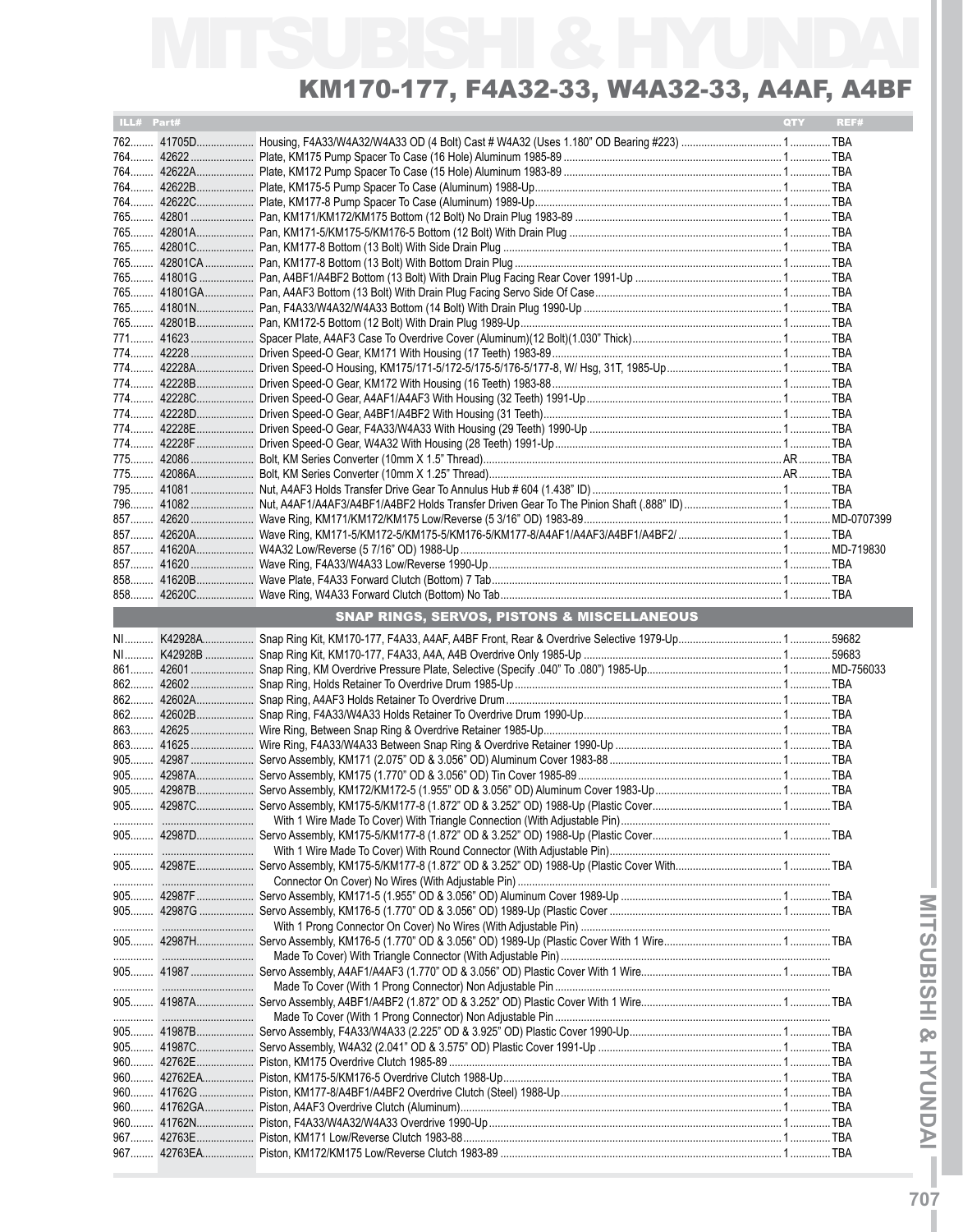| ILL# Part# |            |                                                        | QTY | REF# |
|------------|------------|--------------------------------------------------------|-----|------|
|            |            |                                                        |     |      |
|            |            |                                                        |     |      |
|            |            |                                                        |     |      |
|            |            |                                                        |     |      |
|            |            |                                                        |     |      |
|            |            |                                                        |     |      |
|            |            |                                                        |     |      |
|            |            |                                                        |     |      |
|            |            |                                                        |     |      |
|            |            |                                                        |     |      |
|            |            |                                                        |     |      |
|            |            |                                                        |     |      |
|            |            |                                                        |     |      |
|            |            |                                                        |     |      |
|            |            |                                                        |     |      |
|            |            |                                                        |     |      |
|            |            |                                                        |     |      |
|            |            |                                                        |     |      |
|            |            |                                                        |     |      |
|            |            |                                                        |     |      |
|            |            |                                                        |     |      |
|            |            |                                                        |     |      |
|            |            |                                                        |     |      |
|            |            |                                                        |     |      |
|            |            |                                                        |     |      |
| 857        |            |                                                        |     |      |
|            |            |                                                        |     |      |
|            |            |                                                        |     |      |
|            |            |                                                        |     |      |
|            |            | <b>SNAP RINGS, SERVOS, PISTONS &amp; MISCELLANEOUS</b> |     |      |
|            |            |                                                        |     |      |
|            |            |                                                        |     |      |
|            |            |                                                        |     |      |
|            |            |                                                        |     |      |
|            |            |                                                        |     |      |
|            |            |                                                        |     |      |
|            |            |                                                        |     |      |
|            |            |                                                        |     |      |
|            |            |                                                        |     |      |
| $905$      |            |                                                        |     |      |
|            |            |                                                        |     |      |
|            |            |                                                        |     |      |
|            |            |                                                        |     |      |
|            |            |                                                        |     |      |
|            |            |                                                        |     |      |
|            |            |                                                        |     |      |
|            |            |                                                        |     |      |
|            |            |                                                        |     |      |
|            |            |                                                        |     |      |
|            |            |                                                        |     |      |
|            |            |                                                        |     |      |
|            |            |                                                        |     |      |
|            |            |                                                        |     |      |
|            |            |                                                        |     |      |
|            | 905 41987B |                                                        |     |      |
|            | 905 41987C |                                                        |     |      |
|            |            |                                                        |     |      |
|            |            |                                                        |     |      |
|            |            |                                                        |     |      |
|            |            |                                                        |     |      |
|            |            |                                                        |     |      |
|            |            |                                                        |     |      |
|            |            |                                                        |     |      |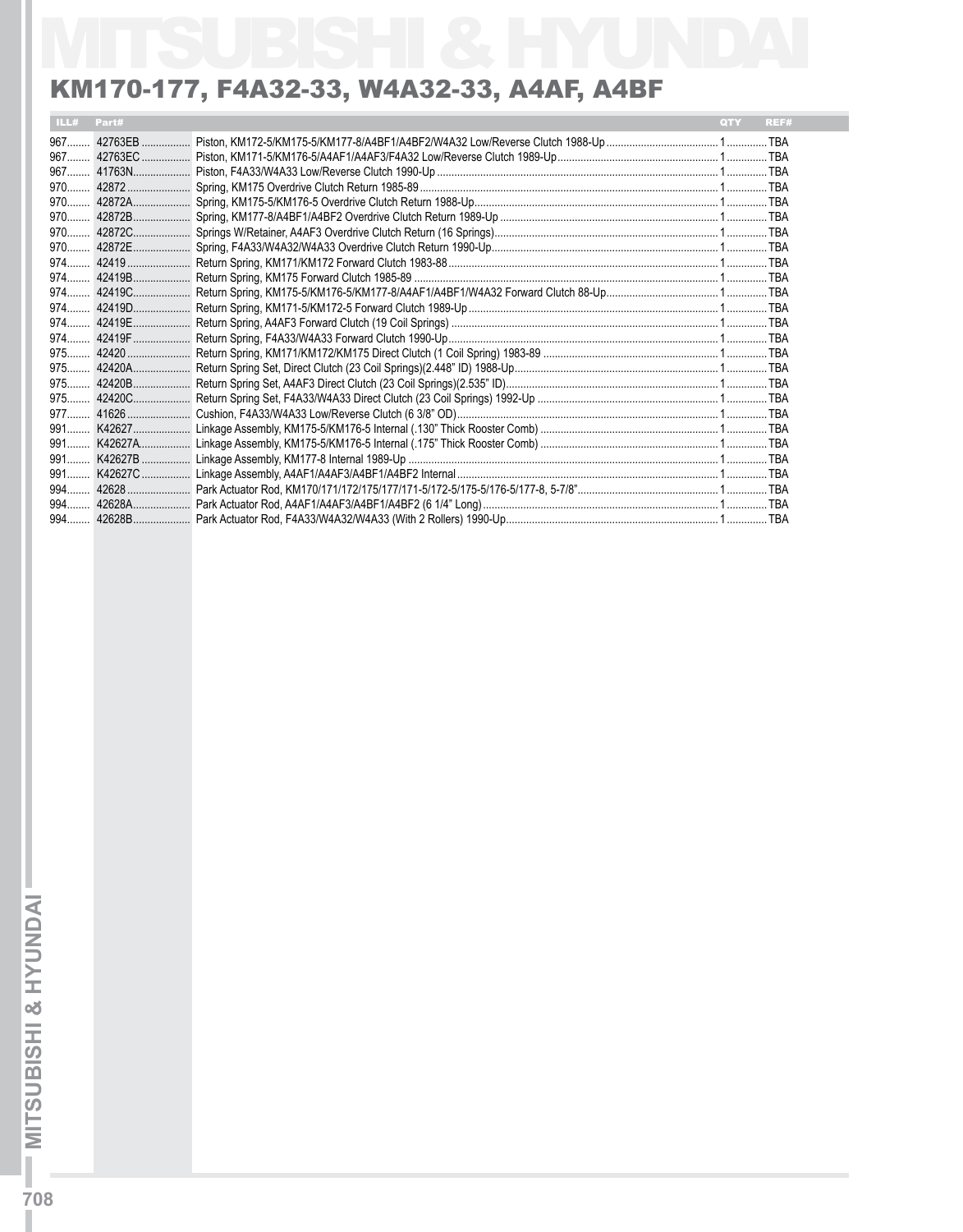| ILL# Part# | <b>QTY</b> | REF# |
|------------|------------|------|
|            |            |      |
|            |            |      |
|            |            |      |
|            |            |      |
|            |            |      |
|            |            |      |
|            |            |      |
|            |            |      |
|            |            |      |
|            |            |      |
|            |            |      |
|            |            |      |
|            |            |      |
|            |            |      |
|            |            |      |
|            |            |      |
|            |            |      |
|            |            |      |
|            |            |      |
|            |            |      |
|            |            |      |
|            |            |      |
|            |            |      |
|            |            |      |
|            |            |      |
|            |            |      |
|            |            |      |
|            |            |      |
|            |            |      |
|            |            |      |
|            |            |      |
|            |            |      |
|            |            |      |
|            |            |      |
|            |            |      |
|            |            |      |
|            |            |      |
|            |            |      |
|            |            |      |
|            |            |      |